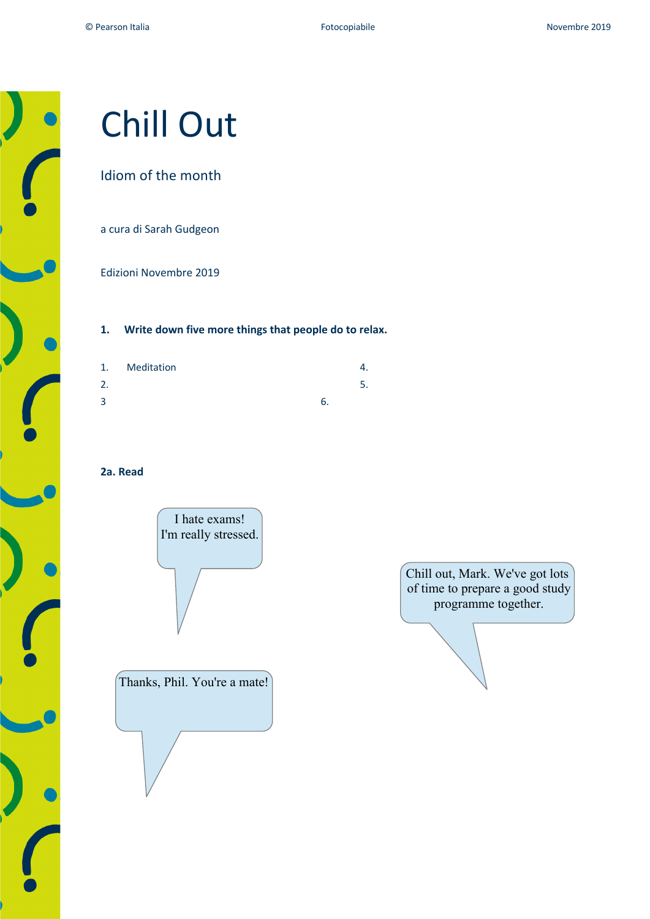# Chill Out

# Idiom of the month

a cura di Sarah Gudgeon

Edizioni Novembre 2019

## **1. Write down five more things that people do to relax.**

| 1. | Meditation |    | 4. |
|----|------------|----|----|
| 2. |            |    |    |
| 3  |            | b. |    |
|    |            |    |    |

## **2a. Read**



Thanks, Phil. You're a mate!

Chill out, Mark. We've got lots of time to prepare a good study programme together.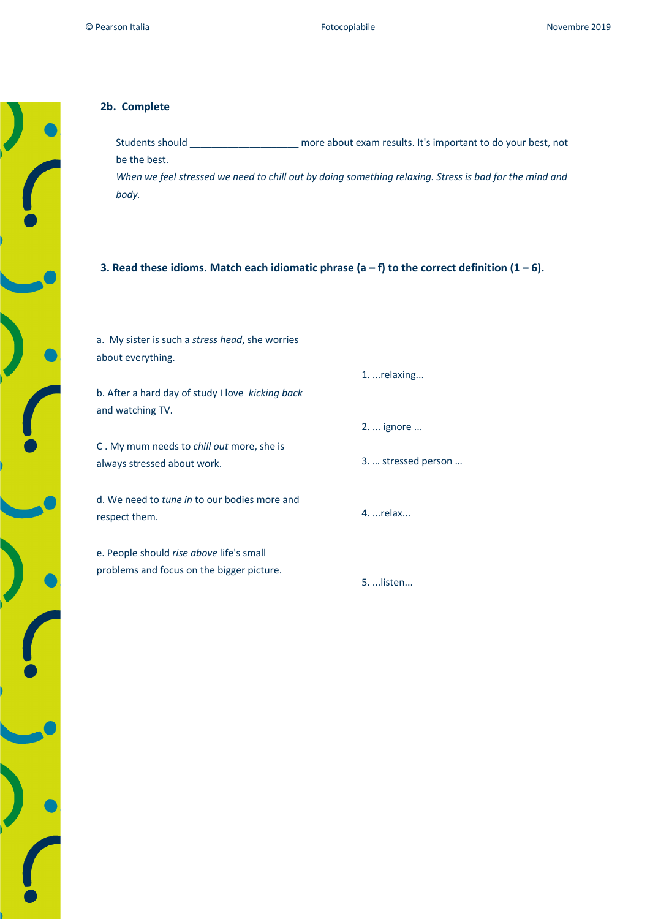### **2b. Complete**

Students should \_\_\_\_\_\_\_\_\_\_\_\_\_\_\_\_\_\_\_\_ more about exam results. It's important to do your best, not be the best.

*When we feel stressed we need to chill out by doing something relaxing. Stress is bad for the mind and body.*

#### **3. Read these idioms. Match each idiomatic phrase (a – f) to the correct definition (1 – 6).**

| a. My sister is such a <i>stress head</i> , she worries |                     |
|---------------------------------------------------------|---------------------|
| about everything.                                       |                     |
|                                                         | 1.  relaxing        |
| b. After a hard day of study I love kicking back        |                     |
| and watching TV.                                        |                     |
|                                                         | 2.  ignore          |
| C. My mum needs to <i>chill out</i> more, she is        |                     |
| always stressed about work.                             | 3.  stressed person |
|                                                         |                     |
| d. We need to <i>tune in</i> to our bodies more and     |                     |
| respect them.                                           | $4.$ relax          |
|                                                         |                     |
| e. People should rise above life's small                |                     |
| problems and focus on the bigger picture.               |                     |
|                                                         | 5.  listen          |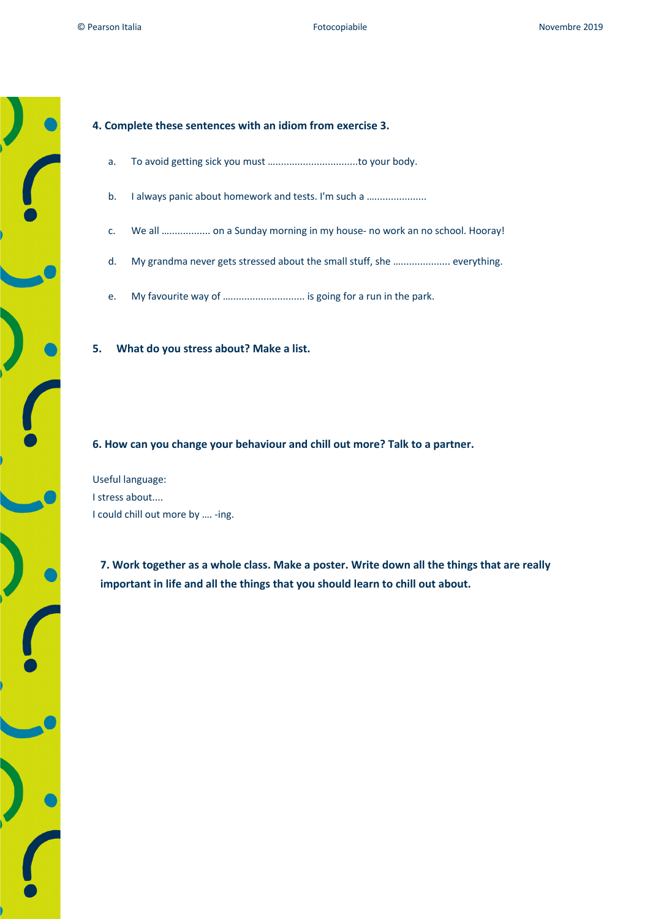#### **4. Complete these sentences with an idiom from exercise 3.**

- a. To avoid getting sick you must …..............................to your body.
- b. I always panic about homework and tests. I'm such a ......................
- c. We all …............... on a Sunday morning in my house- no work an no school. Hooray!
- d. My grandma never gets stressed about the small stuff, she ….................. everything.
- e. My favourite way of ............................... is going for a run in the park.

**5. What do you stress about? Make a list.**

**6. How can you change your behaviour and chill out more? Talk to a partner.**

Useful language: I stress about.... I could chill out more by …. -ing.

**7. Work together as a whole class. Make a poster. Write down all the things that are really important in life and all the things that you should learn to chill out about.**